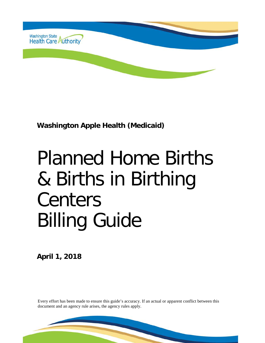

**Washington Apple Health (Medicaid)**

# Planned Home Births & Births in Birthing Centers Billing Guide

**April 1, 2018**

Every effort has been made to ensure this guide's accuracy. If an actual or apparent conflict between this document and an agency rule arises, the agency rules apply.

 $\overline{1}$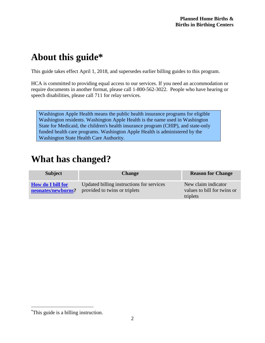# <span id="page-1-1"></span>**About this guide\*[1](#page-1-0)**

This guide takes effect April 1, 2018, and supersedes earlier billing guides to this program.

HCA is committed to providing equal access to our services. If you need an accommodation or require documents in another format, please call 1-800-562-3022. People who have hearing or speech disabilities, please call 711 for relay services.

Washington Apple Health means the public health insurance programs for eligible Washington residents. Washington Apple Health is the name used in Washington State for Medicaid, the children's health insurance program (CHIP), and state-only funded health care programs. Washington Apple Health is administered by the Washington State Health Care Authority.

## <span id="page-1-2"></span>**What has changed?**

| <b>Subject</b>                                 | <b>Change</b>                                                              | <b>Reason for Change</b>                                       |
|------------------------------------------------|----------------------------------------------------------------------------|----------------------------------------------------------------|
| <b>How do I bill for</b><br>neonates/newborns? | Updated billing instructions for services<br>provided to twins or triplets | New claim indicator<br>values to bill for twins or<br>triplets |

<span id="page-1-0"></span> <sup>\*</sup> This guide is a billing instruction.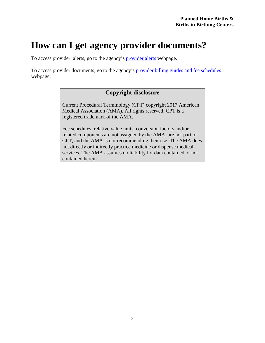## <span id="page-2-0"></span>**How can I get agency provider documents?**

To access provider alerts, go to the agency's [provider alerts](http://www.hca.wa.gov/node/316) webpage.

To access provider documents, go to the agency's [provider billing guides and fee schedules](http://www.hca.wa.gov/node/301) webpage.

#### **Copyright disclosure**

Current Procedural Terminology (CPT) copyright 2017 American Medical Association (AMA). All rights reserved. CPT is a registered trademark of the AMA.

Fee schedules, relative value units, conversion factors and/or related components are not assigned by the AMA, are not part of CPT, and the AMA is not recommending their use. The AMA does not directly or indirectly practice medicine or dispense medical services. The AMA assumes no liability for data contained or not contained herein.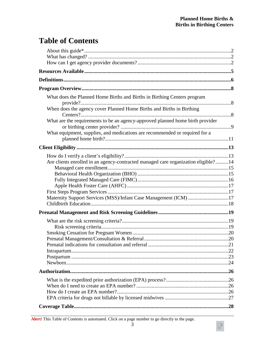$\sqrt{\phantom{a}}$ 

#### **Table of Contents**

| What does the Planned Home Births and Births in Birthing Centers program<br>When does the agency cover Planned Home Births and Births in Birthing |  |
|---------------------------------------------------------------------------------------------------------------------------------------------------|--|
|                                                                                                                                                   |  |
| What are the requirements to be an agency-approved planned home birth provider                                                                    |  |
| What equipment, supplies, and medications are recommended or required for a                                                                       |  |
|                                                                                                                                                   |  |
|                                                                                                                                                   |  |
| Are clients enrolled in an agency-contracted managed care organization eligible?14                                                                |  |
|                                                                                                                                                   |  |
|                                                                                                                                                   |  |
|                                                                                                                                                   |  |
| Maternity Support Services (MSS)/Infant Case Management (ICM) 17                                                                                  |  |
|                                                                                                                                                   |  |
|                                                                                                                                                   |  |
|                                                                                                                                                   |  |
|                                                                                                                                                   |  |
|                                                                                                                                                   |  |
|                                                                                                                                                   |  |
|                                                                                                                                                   |  |
|                                                                                                                                                   |  |
|                                                                                                                                                   |  |
|                                                                                                                                                   |  |
|                                                                                                                                                   |  |
|                                                                                                                                                   |  |
|                                                                                                                                                   |  |
|                                                                                                                                                   |  |

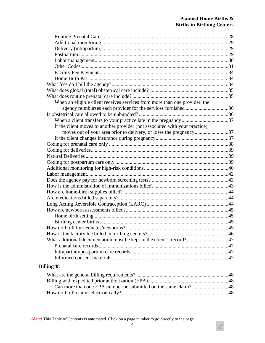$\sqrt{\phantom{a}}$ 

| When an eligible client receives services from more than one provider, the   |  |
|------------------------------------------------------------------------------|--|
| agency reimburses each provider for the services furnished 36                |  |
|                                                                              |  |
|                                                                              |  |
| If the client moves to another provider (not associated with your practice), |  |
| moves out of your area prior to delivery, or loses the pregnancy37           |  |
|                                                                              |  |
|                                                                              |  |
|                                                                              |  |
|                                                                              |  |
|                                                                              |  |
|                                                                              |  |
|                                                                              |  |
|                                                                              |  |
|                                                                              |  |
|                                                                              |  |
|                                                                              |  |
|                                                                              |  |
|                                                                              |  |
|                                                                              |  |
|                                                                              |  |
|                                                                              |  |
|                                                                              |  |
| What additional documentation must be kept in the client's record?47         |  |
|                                                                              |  |
|                                                                              |  |
|                                                                              |  |
|                                                                              |  |

#### **[Billing](#page-47-0) 48**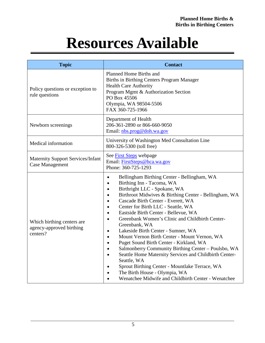# **Resources Available**

<span id="page-5-0"></span>

| <b>Topic</b>                                                        | <b>Contact</b>                                                                                                                                                                                                                                                                                                                                                                                                                                                                                                                                                                                                                                                                                                                                                                                                                                                                                                                                |  |  |
|---------------------------------------------------------------------|-----------------------------------------------------------------------------------------------------------------------------------------------------------------------------------------------------------------------------------------------------------------------------------------------------------------------------------------------------------------------------------------------------------------------------------------------------------------------------------------------------------------------------------------------------------------------------------------------------------------------------------------------------------------------------------------------------------------------------------------------------------------------------------------------------------------------------------------------------------------------------------------------------------------------------------------------|--|--|
| Policy questions or exception to<br>rule questions                  | Planned Home Births and<br>Births in Birthing Centers Program Manager<br><b>Health Care Authority</b><br>Program Mgmt & Authorization Section<br>PO Box 45506<br>Olympia, WA 98504-5506<br>FAX 360-725-1966                                                                                                                                                                                                                                                                                                                                                                                                                                                                                                                                                                                                                                                                                                                                   |  |  |
| Newborn screenings                                                  | Department of Health<br>206-361-2890 or 866-660-9050<br>Email: nbs.prog@doh.wa.gov                                                                                                                                                                                                                                                                                                                                                                                                                                                                                                                                                                                                                                                                                                                                                                                                                                                            |  |  |
| Medical information                                                 | University of Washington Med Consultation Line<br>800-326-5300 (toll free)                                                                                                                                                                                                                                                                                                                                                                                                                                                                                                                                                                                                                                                                                                                                                                                                                                                                    |  |  |
| <b>Maternity Support Services/Infant</b><br><b>Case Management</b>  | See First Steps webpage<br>Email: FirstSteps@hca.wa.gov<br>Phone: 360-725-1293                                                                                                                                                                                                                                                                                                                                                                                                                                                                                                                                                                                                                                                                                                                                                                                                                                                                |  |  |
| Which birthing centers are.<br>agency-approved birthing<br>centers? | Bellingham Birthing Center - Bellingham, WA<br>$\bullet$<br>Birthing Inn - Tacoma, WA<br>$\bullet$<br>Birthright LLC - Spokane, WA<br>$\bullet$<br>Birthroot Midwives & Birthing Center - Bellingham, WA<br>$\bullet$<br>Cascade Birth Center - Everett, WA<br>$\bullet$<br>Center for Birth LLC - Seattle, WA<br>$\bullet$<br>Eastside Birth Center - Bellevue, WA<br>$\bullet$<br>Greenbank Women's Clinic and Childbirth Center-<br>$\bullet$<br>Greenbank, WA<br>Lakeside Birth Center - Sumner, WA<br>$\bullet$<br>Mount Vernon Birth Center - Mount Vernon, WA<br>$\bullet$<br>Puget Sound Birth Center - Kirkland, WA<br>$\bullet$<br>Salmonberry Community Birthing Center - Poulsbo, WA<br>$\bullet$<br>Seattle Home Maternity Services and Childbirth Center-<br>$\bullet$<br>Seattle, WA<br>Sprout Birthing Center - Mountlake Terrace, WA<br>The Birth House - Olympia, WA<br>Wenatchee Midwife and Childbirth Center - Wenatchee |  |  |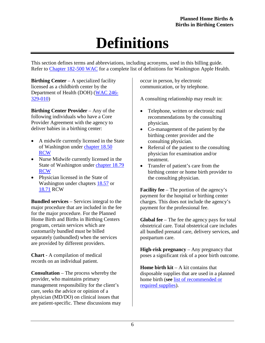# **Definitions**

<span id="page-6-0"></span>This section defines terms and abbreviations, including acronyms, used in this billing guide. Refer to [Chapter 182-500 WAC](http://app.leg.wa.gov/wac/default.aspx?cite=182-500) for a complete list of definitions for Washington Apple Health.

**Birthing Center** – A specialized facility licensed as a childbirth center by the Department of Health (DOH) [\(WAC 246-](http://apps.leg.wa.gov/wac/default.aspx?cite=246-329-010) [329-010\)](http://apps.leg.wa.gov/wac/default.aspx?cite=246-329-010)

**Birthing Center Provider** – Any of the following individuals who have a Core Provider Agreement with the agency to deliver babies in a birthing center:

- A midwife currently licensed in the State of Washington under [chapter 18.50](http://apps.leg.wa.gov/rcw/default.aspx?cite=18.50)  [RCW](http://apps.leg.wa.gov/rcw/default.aspx?cite=18.50)
- Nurse Midwife currently licensed in the State of Washington under [chapter 18.79](http://apps.leg.wa.gov/rcw/default.aspx?cite=18.79)  [RCW](http://apps.leg.wa.gov/rcw/default.aspx?cite=18.79)
- Physician licensed in the State of Washington under chapters [18.57](http://apps.leg.wa.gov/rcw/default.aspx?cite=18.57) or [18.71](http://apps.leg.wa.gov/rcw/default.aspx?cite=18.71) RCW

**Bundled services** – Services integral to the major procedure that are included in the fee for the major procedure. For the Planned Home Birth and Births in Birthing Centers program, certain services which are customarily bundled must be billed separately (unbundled) when the services are provided by different providers.

**Chart** - A compilation of medical records on an individual patient.

**Consultation** – The process whereby the provider, who maintains primary management responsibility for the client's care, seeks the advice or opinion of a physician (MD/DO) on clinical issues that are patient-specific. These discussions may occur in person, by electronic communication, or by telephone.

A consulting relationship may result in:

- Telephone, written or electronic mail recommendations by the consulting physician.
- Co-management of the patient by the birthing center provider and the consulting physician.
- Referral of the patient to the consulting physician for examination and/or treatment.
- Transfer of patient's care from the birthing center or home birth provider to the consulting physician.

**Facility fee** – The portion of the agency's payment for the hospital or birthing center charges. This does not include the agency's payment for the professional fee.

**Global fee** – The fee the agency pays for total obstetrical care. Total obstetrical care includes all bundled prenatal care, delivery services, and postpartum care.

**High-risk pregnancy** – Any pregnancy that poses a significant risk of a poor birth outcome.

**Home birth kit** – A kit contains that disposable supplies that are used in a planned home birth (**see** [list of recommended or](#page-11-0)  [required supplies\)](#page-11-0).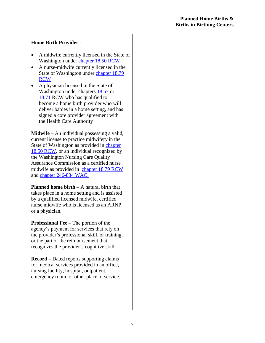#### **Home Birth Provider** -

- A midwife currently licensed in the State of Washington under [chapter 18.50 RCW](http://apps.leg.wa.gov/rcw/default.aspx?cite=18.50)
- A nurse-midwife currently licensed in the State of Washington under [chapter 18.79](http://apps.leg.wa.gov/rcw/default.aspx?cite=18.79) [RCW](http://apps.leg.wa.gov/rcw/default.aspx?cite=18.79)
- A physician licensed in the State of Washington under chapters [18.57](http://apps.leg.wa.gov/rcw/default.aspx?cite=18.57) or [18.71](http://apps.leg.wa.gov/rcw/default.aspx?cite=18.71) RCW who has qualified to become a home birth provider who will deliver babies in a home setting, and has signed a core provider agreement with the Health Care Authority

**Midwife** – An individual possessing a valid, current license to practice midwifery in the State of Washington as provided in [chapter](http://apps.leg.wa.gov/rcw/default.aspx?cite=18.50) [18.50 RCW,](http://apps.leg.wa.gov/rcw/default.aspx?cite=18.50) or an individual recognized by the Washington Nursing Care Quality Assurance Commission as a certified nurse midwife as provided in [chapter 18.79 RCW](http://apps.leg.wa.gov/rcw/default.aspx?cite=18.79) and [chapter 246-834 WAC.](http://apps.leg.wa.gov/wac/default.aspx?cite=246-834)

**Planned home birth** – A natural birth that takes place in a home setting and is assisted by a qualified licensed midwife, certified nurse midwife who is licensed as an ARNP, or a physician.

**Professional Fee** – The portion of the agency's payment for services that rely on the provider's professional skill, or training, or the part of the reimbursement that recognizes the provider's cognitive skill.

**Record** – Dated reports supporting claims for medical services provided in an office, nursing facility, hospital, outpatient, emergency room, or other place of service.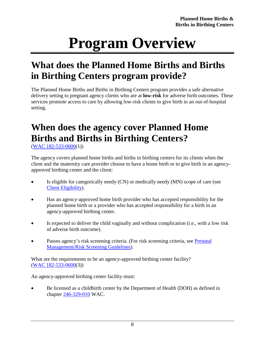# **Program Overview**

# <span id="page-8-1"></span><span id="page-8-0"></span>**What does the Planned Home Births and Births in Birthing Centers program provide?**

The Planned Home Births and Births in Birthing Centers program provides a safe alternative delivery setting to pregnant agency clients who are at **low-risk** for adverse birth outcomes. These services promote access to care by allowing low-risk clients to give birth in an out-of-hospital setting.

# <span id="page-8-2"></span>**When does the agency cover Planned Home Births and Births in Birthing Centers?**

[\(WAC 182-533-0600\(](http://apps.leg.wa.gov/wac/default.aspx?cite=182-533-0600)1))

The agency covers planned home births and births in birthing centers for its clients when the client and the maternity care provider choose to have a home birth or to give birth in an agencyapproved birthing center and the client:

- Is eligible for categorically needy (CN) or medically needy (MN) scope of care (see [Client Eligibility\)](#page-12-0).
- Has an agency-approved home birth provider who has accepted responsibility for the planned home birth or a provider who has accepted responsibility for a birth in an agency-approved birthing center.
- Is expected to deliver the child vaginally and without complication (i.e., with a low risk of adverse birth outcome).
- Passes agency's risk screening criteria. (For risk screening criteria, see Prenatal [Management/Risk Screening Guidelines\)](#page-18-0).

What are the requirements to be an agency-approved birthing center facility? [\(WAC 182-533-0600\(](http://apps.leg.wa.gov/wac/default.aspx?cite=182-533-0600)3))

An agency-approved birthing center facility must:

• Be licensed as a childbirth center by the Department of Health (DOH) as defined in chapter [246-329-010](http://apps.leg.wa.gov/wac/default.aspx?cite=246-329-010) WAC.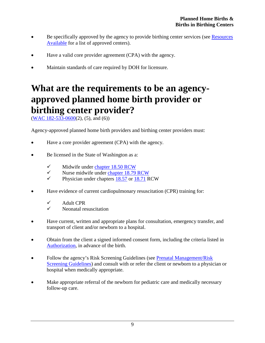- Be specifically approved by the agency to provide birthing center services (see Resources [Available](#page-5-0) for a list of approved centers).
- Have a valid core provider agreement (CPA) with the agency.
- Maintain standards of care required by DOH for licensure.

## <span id="page-9-0"></span>**What are the requirements to be an agencyapproved planned home birth provider or birthing center provider?**

 $(WAC 182 - 533 - 0600(2), (5), and (6))$ 

Agency-approved planned home birth providers and birthing center providers must:

- Have a core provider agreement (CPA) with the agency.
- Be licensed in the State of Washington as a:
	- $\checkmark$  Midwife under [chapter 18.50 RCW](http://apps.leg.wa.gov/rcw/default.aspx?cite=18.50)<br> $\checkmark$  Nurse midwife under chapter 18.79
	- V Nurse midwife under [chapter 18.79 RCW](http://apps.leg.wa.gov/rcw/default.aspx?cite=18.79)<br>Physician under chapters 18.57 or 18.71 R
	- Physician under chapters [18.57](http://apps.leg.wa.gov/rcw/default.aspx?cite=18.57) or [18.71](http://apps.leg.wa.gov/rcw/default.aspx?cite=18.71) RCW
- Have evidence of current cardiopulmonary resuscitation (CPR) training for:
	- $\checkmark$  Adult CPR
	- Neonatal resuscitation
- Have current, written and appropriate plans for consultation, emergency transfer, and transport of client and/or newborn to a hospital.
- Obtain from the client a signed informed consent form, including the criteria listed in [Authorization,](#page-25-0) in advance of the birth.
- Follow the agency's Risk Screening Guidelines (see Prenatal Management/Risk [Screening Guidelines\)](#page-18-0) and consult with or refer the client or newborn to a physician or hospital when medically appropriate.
- Make appropriate referral of the newborn for pediatric care and medically necessary follow-up care.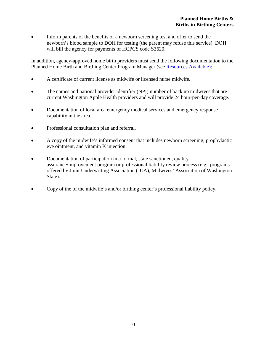• Inform parents of the benefits of a newborn screening test and offer to send the newborn's blood sample to DOH for testing (the parent may refuse this service). DOH will bill the agency for payments of HCPCS code S3620.

In addition, agency-approved home birth providers must send the following documentation to the Planned Home Birth and Birthing Center Program Manager (see [Resources Available\):](#page-5-0)

- A certificate of current license as midwife or licensed nurse midwife.
- The names and national provider identifier (NPI) number of back up midwives that are current Washington Apple Health providers and will provide 24 hour-per-day coverage.
- Documentation of local area emergency medical services and emergency response capability in the area.
- Professional consultation plan and referral.
- A copy of the midwife's informed consent that includes newborn screening, prophylactic eye ointment, and vitamin K injection.
- Documentation of participation in a formal, state sanctioned, quality assurance/improvement program or professional liability review process (e.g., programs offered by Joint Underwriting Association (JUA), Midwives' Association of Washington State).
- Copy of the of the midwife's and/or birthing center's professional liability policy.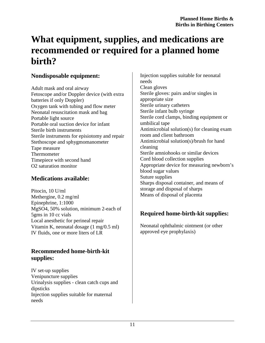## <span id="page-11-0"></span>**What equipment, supplies, and medications are recommended or required for a planned home birth?**

#### **Nondisposable equipment:**

Adult mask and oral airway Fetoscope and/or Doppler device (with extra batteries if only Doppler) Oxygen tank with tubing and flow meter Neonatal resuscitation mask and bag Portable light source Portable oral suction device for infant Sterile birth instruments Sterile instruments for episiotomy and repair Stethoscope and sphygmomanometer Tape measure Thermometer Timepiece with second hand O2 saturation monitor

#### **Medications available:**

Pitocin, 10 U/ml Methergine, 0.2 mg/ml Epinephrine, 1:1000 MgSO4, 50% solution, minimum 2-each of 5gms in 10 cc vials Local anesthetic for perineal repair Vitamin K, neonatal dosage (1 mg/0.5 ml) IV fluids, one or more liters of LR

#### **Recommended home-birth-kit supplies:**

IV set-up supplies Venipuncture supplies Urinalysis supplies - clean catch cups and dipsticks Injection supplies suitable for maternal needs

Injection supplies suitable for neonatal needs Clean gloves Sterile gloves: pairs and/or singles in appropriate size Sterile urinary catheters Sterile infant bulb syringe Sterile cord clamps, binding equipment or umbilical tape Antimicrobial solution(s) for cleaning exam room and client bathroom Antimicrobial solution(s)/brush for hand cleaning Sterile amniohooks or similar devices Cord blood collection supplies Appropriate device for measuring newborn's blood sugar values Suture supplies Sharps disposal container, and means of storage and disposal of sharps Means of disposal of placenta

#### **Required home-birth-kit supplies:**

Neonatal ophthalmic ointment (or other approved eye prophylaxis)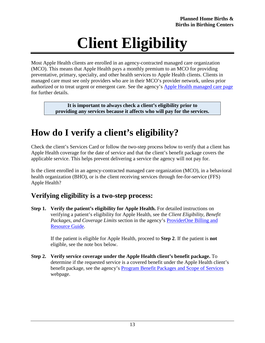# **Client Eligibility**

<span id="page-12-0"></span>Most Apple Health clients are enrolled in an agency-contracted managed care organization (MCO). This means that Apple Health pays a monthly premium to an MCO for providing preventative, primary, specialty, and other health services to Apple Health clients. Clients in managed care must see only providers who are in their MCO's provider network, unless prior authorized or to treat urgent or emergent care. See the agency's [Apple Health managed care page](https://www.hca.wa.gov/billers-providers/programs-and-services/managed-care) for further details.

> **It is important to always check a client's eligibility prior to providing any services because it affects who will pay for the services.**

# <span id="page-12-1"></span>**How do I verify a client's eligibility?**

Check the client's Services Card or follow the two-step process below to verify that a client has Apple Health coverage for the date of service and that the client's benefit package covers the applicable service. This helps prevent delivering a service the agency will not pay for.

Is the client enrolled in an agency-contracted managed care organization (MCO), in a behavioral health organization (BHO), or is the client receiving services through fee-for-service (FFS) Apple Health?

#### **Verifying eligibility is a two-step process:**

**Step 1. Verify the patient's eligibility for Apple Health.** For detailed instructions on verifying a patient's eligibility for Apple Health, see the *Client Eligibility, Benefit Packages, and Coverage Limits* section in the agency's [ProviderOne Billing and](http://www.hca.wa.gov/node/311)  [Resource](http://www.hca.wa.gov/node/311) Guide.

> If the patient is eligible for Apple Health, proceed to **Step 2**. If the patient is **not** eligible, see the note box below.

**Step 2. Verify service coverage under the Apple Health client's benefit package.** To determine if the requested service is a covered benefit under the Apple Health client's benefit package, see the agency's [Program Benefit Packages and Scope of Services](http://www.hca.wa.gov/node/2391) webpage.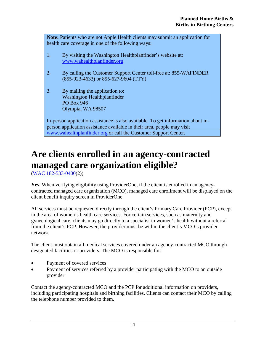**Note:** Patients who are not Apple Health clients may submit an application for health care coverage in one of the following ways:

- 1. By visiting the Washington Healthplanfinder's website at: [www.wahealthplanfinder.org](http://www.wahealthplanfinder.org/)
- 2. By calling the Customer Support Center toll-free at: 855-WAFINDER (855-923-4633) or 855-627-9604 (TTY)
- 3. By mailing the application to: Washington Healthplanfinder PO Box 946 Olympia, WA 98507

In-person application assistance is also available. To get information about inperson application assistance available in their area, people may visit [www.wahealthplanfinder.org](http://www.wahealthplanfinder.org/) or call the Customer Support Center.

# <span id="page-13-0"></span>**Are clients enrolled in an agency-contracted managed care organization eligible?**

[\(WAC 182-533-0400\(](http://apps.leg.wa.gov/wac/default.aspx?cite=182-533-0400)2))

**Yes.** When verifying eligibility using ProviderOne, if the client is enrolled in an agencycontracted managed care organization (MCO), managed care enrollment will be displayed on the client benefit inquiry screen in ProviderOne.

All services must be requested directly through the client's Primary Care Provider (PCP), except in the area of women's health care services. For certain services, such as maternity and gynecological care, clients may go directly to a specialist in women's health without a referral from the client's PCP. However, the provider must be within the client's MCO's provider network.

The client must obtain all medical services covered under an agency-contracted MCO through designated facilities or providers. The MCO is responsible for:

- Payment of covered services
- Payment of services referred by a provider participating with the MCO to an outside provider

Contact the agency-contracted MCO and the PCP for additional information on providers, including participating hospitals and birthing facilities. Clients can contact their MCO by calling the telephone number provided to them.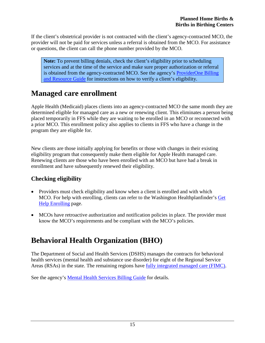If the client's obstetrical provider is not contracted with the client's agency-contracted MCO, the provider will not be paid for services unless a referral is obtained from the MCO. For assistance or questions, the client can call the phone number provided by the MCO.

**Note:** To prevent billing denials, check the client's eligibility prior to scheduling services and at the time of the service and make sure proper authorization or referral is obtained from the agency-contracted MCO. See the agency's [ProviderOne Billing](http://www.hca.wa.gov/node/311)  [and Resource Guide](http://www.hca.wa.gov/node/311) for instructions on how to verify a client's eligibility.

#### <span id="page-14-0"></span>**Managed care enrollment**

Apple Health (Medicaid) places clients into an agency-contracted MCO the same month they are determined eligible for managed care as a new or renewing client. This eliminates a person being placed temporarily in FFS while they are waiting to be enrolled in an MCO or reconnected with a prior MCO. This enrollment policy also applies to clients in FFS who have a change in the program they are eligible for.

New clients are those initially applying for benefits or those with changes in their existing eligibility program that consequently make them eligible for Apple Health managed care. Renewing clients are those who have been enrolled with an MCO but have had a break in enrollment and have subsequently renewed their eligibility.

#### **Checking eligibility**

- Providers must check eligibility and know when a client is enrolled and with which MCO. For help with enrolling, clients can refer to the Washington Healthplanfinder's [Get](http://www.wahbexchange.org/new-customers/application-support/customer-support-network/)  [Help Enrolling](http://www.wahbexchange.org/new-customers/application-support/customer-support-network/) page.
- MCOs have retroactive authorization and notification policies in place. The provider must know the MCO's requirements and be compliant with the MCO's policies.

#### <span id="page-14-1"></span>**Behavioral Health Organization (BHO)**

The Department of Social and Health Services (DSHS) manages the contracts for behavioral health services (mental health and substance use disorder) for eight of the Regional Service Areas (RSAs) in the state. The remaining regions have [fully integrated managed care \(FIMC\).](https://www.hca.wa.gov/free-or-low-cost-health-care/apple-health-medicaid-coverage/apple-health-managed-care#changes-to-apple-health-managed-care)

See the agency's [Mental Health Services Billing Guide](https://www.hca.wa.gov/billers-providers/claims-and-billing/professional-rates-and-billing-guides#m) for details.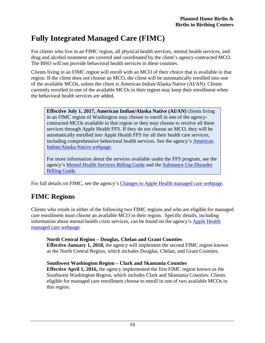#### <span id="page-15-0"></span>**Fully Integrated Managed Care (FIMC)**

For clients who live in an FIMC region, all physical health services, mental health services, and drug and alcohol treatment are covered and coordinated by the client's agency-contracted MCO. The BHO will not provide behavioral health services in these counties.

Clients living in an FIMC region will enroll with an MCO of their choice that is available in that region. If the client does not choose an MCO, the client will be automatically enrolled into one of the available MCOs, unless the client is American Indian/Alaska Native (AI/AN). Clients currently enrolled in one of the available MCOs in their region may keep their enrollment when the behavioral health services are added.

**Effective July 1, 2017, American Indian/Alaska Native (AI/AN)** clients living in an FIMC region of Washington may choose to enroll in one of the agencycontracted MCOs available in that region or they may choose to receive all these services through Apple Health FFS. If they do not choose an MCO, they will be automatically enrolled into Apple Health FFS for all their health care services, including comprehensive behavioral health services. See the agency's [American](https://www.hca.wa.gov/free-or-low-cost-health-care/apple-health-medicaid-coverage/american-indianalaska-native)  [Indian/Alaska Native webpage.](https://www.hca.wa.gov/free-or-low-cost-health-care/apple-health-medicaid-coverage/american-indianalaska-native)

For more information about the services available under the FFS program, see the agency's [Mental Health Services Billing Guide](https://www.hca.wa.gov/billers-providers/claims-and-billing/professional-rates-and-billing-guides#m) and the [Substance Use Disorder](https://www.hca.wa.gov/billers-providers/claims-and-billing/professional-rates-and-billing-guides#s)  [Billing Guide.](https://www.hca.wa.gov/billers-providers/claims-and-billing/professional-rates-and-billing-guides#s)

For full details on FIMC, see the agency's [Changes to Apple Health managed care webpage.](https://www.hca.wa.gov/free-or-low-cost-health-care/apple-health-medicaid-coverage/apple-health-managed-care#changes-to-apple-health-managed-care)

#### **FIMC Regions**

Clients who reside in either of the following two FIMC regions and who are eligible for managed care enrollment must choose an available MCO in their region. Specific details, including information about mental health crisis services, can be found on the agency's [Apple Health](https://www.hca.wa.gov/billers-providers/programs-and-services/managed-care)  [managed care webpage.](https://www.hca.wa.gov/billers-providers/programs-and-services/managed-care)

**North Central Region – Douglas, Chelan and Grant Counties Effective January 1, 2018,** the agency will implement the second FIMC region known as the North Central Region, which includes Douglas, Chelan, and Grant Counties.

#### **Southwest Washington Region – Clark and Skamania Counties**

**Effective April 1, 2016,** the agency implemented the first FIMC region known as the Southwest Washington Region, which includes Clark and Skamania Counties. Clients eligible for managed care enrollment choose to enroll in one of two available MCOs in this region.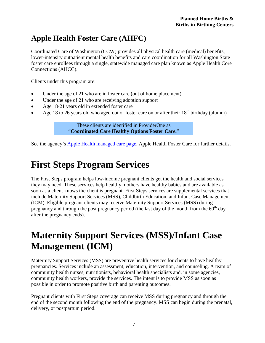#### <span id="page-16-0"></span>**Apple Health Foster Care (AHFC)**

Coordinated Care of Washington (CCW) provides all physical health care (medical) benefits, lower-intensity outpatient mental health benefits and care coordination for all Washington State foster care enrollees through a single, statewide managed care plan known as Apple Health Core Connections (AHCC).

Clients under this program are:

- Under the age of 21 who are in foster care (out of home placement)
- Under the age of 21 who are receiving adoption support
- Age 18-21 years old in extended foster care
- Age 18 to 26 years old who aged out of foster care on or after their  $18<sup>th</sup>$  birthday (alumni)

These clients are identified in ProviderOne as "**Coordinated Care Healthy Options Foster Care.**"

See the agency's [Apple Health managed care page,](https://www.hca.wa.gov/billers-providers/programs-and-services/managed-care) Apple Health Foster Care for further details.

## <span id="page-16-1"></span>**First Steps Program Services**

The First Steps program helps low-income pregnant clients get the health and social services they may need. These services help healthy mothers have healthy babies and are available as soon as a client knows the client is pregnant. First Steps services are supplemental services that include Maternity Support Services (MSS), Childbirth Education, and Infant Case Management (ICM). Eligible pregnant clients may receive Maternity Support Services (MSS) during pregnancy and through the post pregnancy period (the last day of the month from the  $60<sup>th</sup>$  day after the pregnancy ends).

## <span id="page-16-2"></span>**Maternity Support Services (MSS)/Infant Case Management (ICM)**

Maternity Support Services (MSS) are preventive health services for clients to have healthy pregnancies. Services include an assessment, education, intervention, and counseling. A team of community health nurses, nutritionists, behavioral health specialists and, in some agencies, community health workers, provide the services. The intent is to provide MSS as soon as possible in order to promote positive birth and parenting outcomes.

Pregnant clients with First Steps coverage can receive MSS during pregnancy and through the end of the second month following the end of the pregnancy. MSS can begin during the prenatal, delivery, or postpartum period.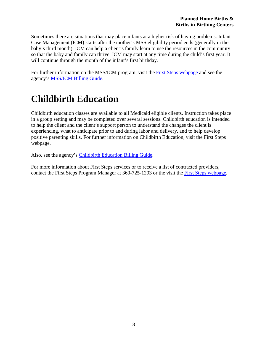Sometimes there are situations that may place infants at a higher risk of having problems. Infant Case Management (ICM) starts after the mother's MSS eligibility period ends (generally in the baby's third month). ICM can help a client's family learn to use the resources in the community so that the baby and family can thrive. ICM may start at any time during the child's first year. It will continue through the month of the infant's first birthday.

For further information on the MSS/ICM program, visit the [First Steps webpage](http://www.hca.wa.gov/node/796) and see the agency's [MSS/ICM Billing Guide.](http://www.hca.wa.gov/node/301#collapse28)

# <span id="page-17-0"></span>**Childbirth Education**

Childbirth education classes are available to all Medicaid eligible clients. Instruction takes place in a group setting and may be completed over several sessions. Childbirth education is intended to help the client and the client's support person to understand the changes the client is experiencing, what to anticipate prior to and during labor and delivery, and to help develop positive parenting skills. For further information on Childbirth Education, visit the First Steps webpage.

Also, see the agency's [Childbirth Education Billing](http://www.hca.wa.gov/node/301#collapse7) Guide.

For more information about First Steps services or to receive a list of contracted providers, contact the First Steps Program Manager at 360-725-1293 or the visit the [First Steps webpage.](http://www.hca.wa.gov/node/796)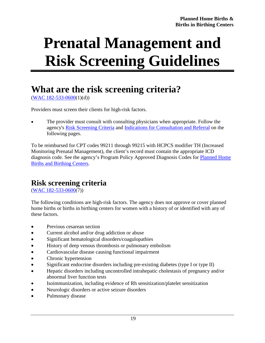# <span id="page-18-0"></span>**Prenatal Management and Risk Screening Guidelines**

## <span id="page-18-1"></span>**What are the risk screening criteria?**

 $(WAC 182 - 533 - 0600(1)(d))$ 

Providers must screen their clients for high-risk factors.

• The provider must consult with consulting physicians when appropriate. Follow the agency's [Risk Screening Criteria](#page-18-2) and [Indications for Consultation and Referral](#page-20-0) on the following pages.

To be reimbursed for CPT codes 99211 through 99215 with HCPCS modifier TH (Increased Monitoring Prenatal Management), the client's record must contain the appropriate ICD diagnosis code. See the agency's Program Policy Approved Diagnosis Codes for [Planned Home](http://www.hca.wa.gov/assets/billers-and-providers/planned_home_births_birthing_centers.pdf)  [Births and Birthing Centers.](http://www.hca.wa.gov/assets/billers-and-providers/planned_home_births_birthing_centers.pdf)

#### <span id="page-18-2"></span>**Risk screening criteria**

[\(WAC 182-533-0600\(](http://apps.leg.wa.gov/wac/default.aspx?cite=182-533-0600)7))

The following conditions are high-risk factors. The agency does not approve or cover planned home births or births in birthing centers for women with a history of or identified with any of these factors.

- Previous cesarean section
- Current alcohol and/or drug addiction or abuse
- Significant hematological disorders/coagulopathies
- History of deep venous thrombosis or pulmonary embolism
- Cardiovascular disease causing functional impairment
- Chronic hypertension
- Significant endocrine disorders including pre-existing diabetes (type I or type II)
- Hepatic disorders including uncontrolled intrahepatic cholestasis of pregnancy and/or abnormal liver function tests
- Isoimmunization, including evidence of Rh sensitization/platelet sensitization
- Neurologic disorders or active seizure disorders
- Pulmonary disease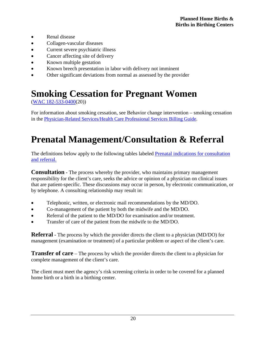- Renal disease
- Collagen-vascular diseases
- Current severe psychiatric illness
- Cancer affecting site of delivery
- Known multiple gestation
- Known breech presentation in labor with delivery not imminent
- Other significant deviations from normal as assessed by the provider

# <span id="page-19-0"></span>**Smoking Cessation for Pregnant Women**

[\(WAC 182-533-0400\(](http://apps.leg.wa.gov/wac/default.aspx?cite=182-533-0400)20))

For information about smoking cessation, see Behavior change intervention – smoking cessation in the [Physician-Related Services/Health Care Professional Services Billing](http://www.hca.wa.gov/billers-providers/claims-and-billing/hospital-rates-and-billing-guides) Guide.

# <span id="page-19-1"></span>**Prenatal Management/Consultation & Referral**

The definitions below apply to the following tables labeled [Prenatal indications for consultation](#page-20-0)  [and referral.](#page-20-0)

**Consultation -** The process whereby the provider, who maintains primary management responsibility for the client's care, seeks the advice or opinion of a physician on clinical issues that are patient-specific. These discussions may occur in person, by electronic communication, or by telephone. A consulting relationship may result in:

- Telephonic, written, or electronic mail recommendations by the MD/DO.
- Co-management of the patient by both the midwife and the MD/DO.
- Referral of the patient to the MD/DO for examination and/or treatment.
- Transfer of care of the patient from the midwife to the MD/DO.

**Referral -** The process by which the provider directs the client to a physician (MD/DO) for management (examination or treatment) of a particular problem or aspect of the client's care.

**Transfer of care** – The process by which the provider directs the client to a physician for complete management of the client's care.

The client must meet the agency's risk screening criteria in order to be covered for a planned home birth or a birth in a birthing center.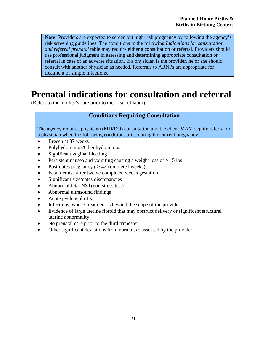**Note:** Providers are expected to screen out high-risk pregnancy by following the agency's risk screening guidelines. The conditions in the following *Indications for consultation and referral prenatal* table may require either a consultation or referral. Providers should use professional judgment in assessing and determining appropriate consultation or referral in case of an adverse situation. If a physician is the provider, he or she should consult with another physician as needed. Referrals to ARNPs are appropriate for treatment of simple infections.

## <span id="page-20-0"></span>**Prenatal indications for consultation and referral**

(Refers to the mother's care prior to the onset of labor)

#### **Conditions Requiring Consultation**

The agency requires physician (MD/DO) consultation and the client MAY require referral to a physician when the following conditions arise during the current pregnancy.

- Breech at 37 weeks
- Polyhydramnios/Oligohydramnios
- Significant vaginal bleeding
- Persistent nausea and vomiting causing a weight loss of  $> 15$  lbs.
- Post-dates pregnancy  $( > 42$  completed weeks)
- Fetal demise after twelve completed weeks gestation
- Significant size/dates discrepancies
- Abnormal fetal NST(non stress test)
- Abnormal ultrasound findings
- Acute pyelonephritis
- Infections, whose treatment is beyond the scope of the provider
- Evidence of large uterine fibroid that may obstruct delivery or significant structural uterine abnormality
- No prenatal care prior to the third trimester
- Other significant deviations from normal, as assessed by the provider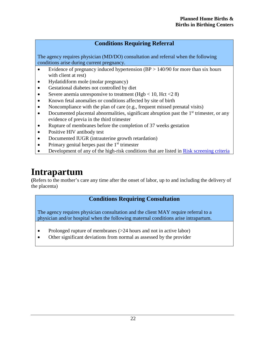The agency requires physician (MD/DO) consultation and referral when the following conditions arise during current pregnancy.

- Evidence of pregnancy induced hypertension  $(BP > 140/90)$  for more than six hours with client at rest)
- Hydatidiform mole (molar pregnancy)
- Gestational diabetes not controlled by diet
- Severe anemia unresponsive to treatment (Hgb  $<$  10, Hct  $<$  28)
- Known fetal anomalies or conditions affected by site of birth
- Noncompliance with the plan of care (e.g., frequent missed prenatal visits)
- Documented placental abnormalities, significant abruption past the  $1<sup>st</sup>$  trimester, or any evidence of previa in the third trimester
- Rupture of membranes before the completion of 37 weeks gestation
- Positive HIV antibody test
- Documented IUGR (intrauterine growth retardation)
- Primary genital herpes past the  $1<sup>st</sup>$  trimester
- Development of any of the high-risk conditions that are listed in [Risk screening criteria](#page-18-2)

### <span id="page-21-0"></span>**Intrapartum**

**(**Refers to the mother's care any time after the onset of labor, up to and including the delivery of the placenta)

#### **Conditions Requiring Consultation**

The agency requires physician consultation and the client MAY require referral to a physician and/or hospital when the following maternal conditions arise intrapartum.

- Prolonged rupture of membranes (>24 hours and not in active labor)
- Other significant deviations from normal as assessed by the provider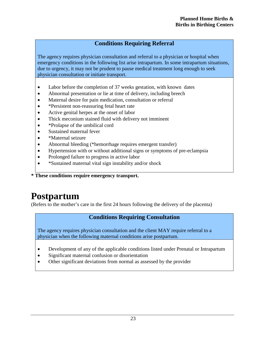The agency requires physician consultation and referral to a physician or hospital when emergency conditions in the following list arise intrapartum. In some intrapartum situations, due to urgency, it may not be prudent to pause medical treatment long enough to seek physician consultation or initiate transport.

- Labor before the completion of 37 weeks gestation, with known dates
- Abnormal presentation or lie at time of delivery, including breech
- Maternal desire for pain medication, consultation or referral
- \*Persistent non-reassuring fetal heart rate
- Active genital herpes at the onset of labor
- Thick meconium stained fluid with delivery not imminent
- \*Prolapse of the umbilical cord
- Sustained maternal fever
- \*Maternal seizure
- Abnormal bleeding (\*hemorrhage requires emergent transfer)
- Hypertension with or without additional signs or symptoms of pre-eclampsia
- Prolonged failure to progress in active labor
- \*Sustained maternal vital sign instability and/or shock

**\* These conditions require emergency transport.**

## <span id="page-22-0"></span>**Postpartum**

(Refers to the mother's care in the first 24 hours following the delivery of the placenta)

#### **Conditions Requiring Consultation**

The agency requires physician consultation and the client MAY require referral to a physician when the following maternal conditions arise postpartum.

- Development of any of the applicable conditions listed under Prenatal or Intrapartum
- Significant maternal confusion or disorientation
- Other significant deviations from normal as assessed by the provider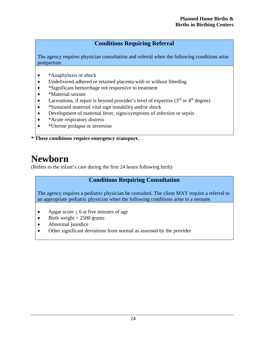The agency requires physician consultation and referral when the following conditions arise postpartum.

- \*Anaphylaxis or shock
- Undelivered adhered or retained placenta with or without bleeding
- \*Significant hemorrhage not responsive to treatment
- \*Maternal seizure
- Lacerations, if repair is beyond provider's level of expertise  $(3<sup>rd</sup>$  or  $4<sup>th</sup>$  degree)
- \*Sustained maternal vital sign instability and/or shock
- Development of maternal fever, signs/symptoms of infection or sepsis
- \*Acute respiratory distress
- \*Uterine prolapse or inversion

**\* These conditions require emergency transport.**

### <span id="page-23-0"></span>**Newborn**

(Refers to the infant's care during the first 24 hours following birth)

#### **Conditions Requiring Consultation**

The agency requires a pediatric physician be consulted. The client MAY require a referral to an appropriate pediatric physician when the following conditions arise in a neonate.

- Apgar score  $\leq 6$  at five minutes of age
- Birth weight  $<$  2500 grams
- Abnormal jaundice
- Other significant deviations from normal as assessed by the provider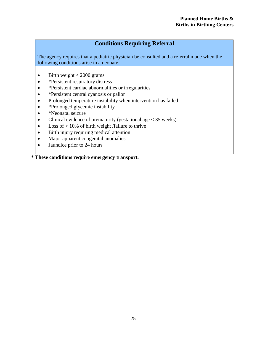The agency requires that a pediatric physician be consulted and a referral made when the following conditions arise in a neonate.

- Birth weight  $< 2000$  grams
- \*Persistent respiratory distress
- \*Persistent cardiac abnormalities or irregularities
- \*Persistent central cyanosis or pallor
- Prolonged temperature instability when intervention has failed
- \*Prolonged glycemic instability
- \*Neonatal seizure
- Clinical evidence of prematurity (gestational age  $< 35$  weeks)
- Loss of  $> 10\%$  of birth weight /failure to thrive
- Birth injury requiring medical attention
- Major apparent congenital anomalies
- Jaundice prior to 24 hours

**\* These conditions require emergency transport.**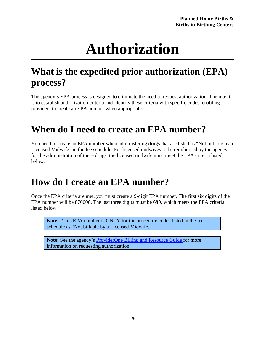# **Authorization**

# <span id="page-25-1"></span><span id="page-25-0"></span>**What is the expedited prior authorization (EPA) process?**

The agency's EPA process is designed to eliminate the need to request authorization. The intent is to establish authorization criteria and identify these criteria with specific codes, enabling providers to create an EPA number when appropriate.

## <span id="page-25-2"></span>**When do I need to create an EPA number?**

You need to create an EPA number when administering drugs that are listed as "Not billable by a Licensed Midwife" in the fee schedule. For licensed midwives to be reimbursed by the agency for the administration of these drugs, the licensed midwife must meet the EPA criteria listed below.

## <span id="page-25-3"></span>**How do I create an EPA number?**

Once the EPA criteria are met, you must create a 9-digit EPA number. The first six digits of the EPA number will be 870000**.** The last three digits must be **690**, which meets the EPA criteria listed below.

**Note:** This EPA number is ONLY for the procedure codes listed in the fee schedule as "Not billable by a Licensed Midwife."

Note: See the agency's **[ProviderOne Billing and Resource Guide f](http://www.hca.wa.gov/node/311)or more** information on requesting authorization.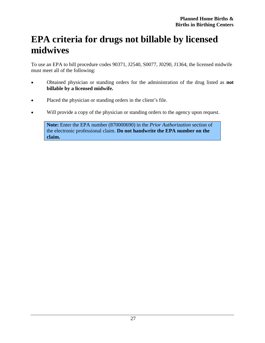## <span id="page-26-0"></span>**EPA criteria for drugs not billable by licensed midwives**

To use an EPA to bill procedure codes 90371, J2540, S0077, J0290, J1364, the licensed midwife must meet all of the following:

- Obtained physician or standing orders for the administration of the drug listed as **not billable by a licensed midwife.**
- Placed the physician or standing orders in the client's file.
- Will provide a copy of the physician or standing orders to the agency upon request.

**Note:** Enter the EPA number (870000690) in the *Prior Authorization* section of the electronic professional claim. **Do not handwrite the EPA number on the claim.**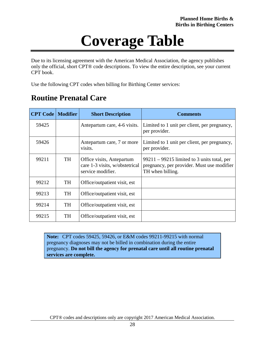# **Coverage Table**

<span id="page-27-0"></span>Due to its licensing agreement with the American Medical Association, the agency publishes only the official, short CPT® code descriptions. To view the entire description, see your current CPT book.

Use the following CPT codes when billing for Birthing Center services:

#### <span id="page-27-1"></span>**Routine Prenatal Care**

| <b>CPT Code   Modifier</b> |           | <b>Short Description</b>                                                         | <b>Comments</b>                                                                                                 |
|----------------------------|-----------|----------------------------------------------------------------------------------|-----------------------------------------------------------------------------------------------------------------|
| 59425                      |           | Antepartum care, 4-6 visits.                                                     | Limited to 1 unit per client, per pregnancy,<br>per provider.                                                   |
| 59426                      |           | Antepartum care, 7 or more<br>visits.                                            | Limited to 1 unit per client, per pregnancy,<br>per provider.                                                   |
| 99211                      | <b>TH</b> | Office visits, Antepartum<br>care 1-3 visits, w/obstetrical<br>service modifier. | $99211 - 99215$ limited to 3 units total, per<br>pregnancy, per provider. Must use modifier<br>TH when billing. |
| 99212                      | <b>TH</b> | Office/outpatient visit, est                                                     |                                                                                                                 |
| 99213                      | TH        | Office/outpatient visit, est                                                     |                                                                                                                 |
| 99214                      | <b>TH</b> | Office/outpatient visit, est                                                     |                                                                                                                 |
| 99215                      | <b>TH</b> | Office/outpatient visit, est                                                     |                                                                                                                 |

**Note:** CPT codes 59425, 59426, or E&M codes 99211-99215 with normal pregnancy diagnoses may not be billed in combination during the entire pregnancy. **Do not bill the agency for prenatal care until all routine prenatal services are complete.**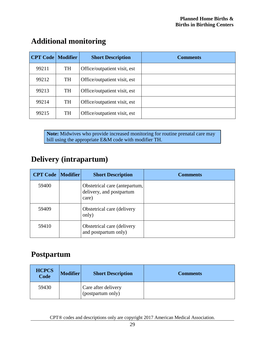| <b>CPT Code   Modifier</b> |           | <b>Short Description</b>     | <b>Comments</b> |
|----------------------------|-----------|------------------------------|-----------------|
| 99211                      | <b>TH</b> | Office/outpatient visit, est |                 |
| 99212                      | <b>TH</b> | Office/outpatient visit, est |                 |
| 99213                      | <b>TH</b> | Office/outpatient visit, est |                 |
| 99214                      | <b>TH</b> | Office/outpatient visit, est |                 |
| 99215                      | <b>TH</b> | Office/outpatient visit, est |                 |

#### <span id="page-28-0"></span>**Additional monitoring**

**Note:** Midwives who provide increased monitoring for routine prenatal care may bill using the appropriate E&M code with modifier TH.

#### <span id="page-28-1"></span>**Delivery (intrapartum)**

| <b>CPT Code   Modifier  </b> | <b>Short Description</b>                                           | <b>Comments</b> |
|------------------------------|--------------------------------------------------------------------|-----------------|
| 59400                        | Obstetrical care (antepartum,<br>delivery, and postpartum<br>care) |                 |
| 59409                        | Obstetrical care (delivery<br>only)                                |                 |
| 59410                        | Obstetrical care (delivery<br>and postpartum only)                 |                 |

#### <span id="page-28-2"></span>**Postpartum**

| <b>HCPCS</b><br>Code | <b>Modifier</b> | <b>Short Description</b>                 | <b>Comments</b> |
|----------------------|-----------------|------------------------------------------|-----------------|
| 59430                |                 | Care after delivery<br>(postpartum only) |                 |

CPT® codes and descriptions only are copyright 2017 American Medical Association.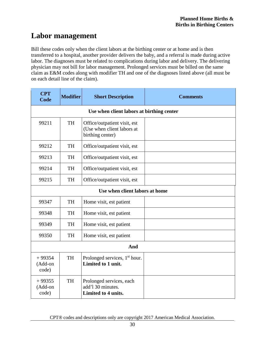#### <span id="page-29-0"></span>**Labor management**

Bill these codes only when the client labors at the birthing center or at home and is then transferred to a hospital, another provider delivers the baby, and a referral is made during active labor. The diagnoses must be related to complications during labor and delivery. The delivering physician may not bill for labor management. Prolonged services must be billed on the same claim as E&M codes along with modifier TH and one of the diagnoses listed above (all must be on each detail line of the claim).

| <b>CPT</b><br>Code           | <b>Modifier</b>                | <b>Short Description</b>                                                       | <b>Comments</b> |
|------------------------------|--------------------------------|--------------------------------------------------------------------------------|-----------------|
|                              |                                | Use when client labors at birthing center                                      |                 |
| 99211                        | <b>TH</b>                      | Office/outpatient visit, est<br>(Use when client labors at<br>birthing center) |                 |
| 99212                        | <b>TH</b>                      | Office/outpatient visit, est                                                   |                 |
| 99213                        | <b>TH</b>                      | Office/outpatient visit, est                                                   |                 |
| 99214                        | <b>TH</b>                      | Office/outpatient visit, est                                                   |                 |
| 99215                        | <b>TH</b>                      | Office/outpatient visit, est                                                   |                 |
|                              | Use when client labors at home |                                                                                |                 |
| 99347                        | TH                             | Home visit, est patient                                                        |                 |
| 99348                        | <b>TH</b>                      | Home visit, est patient                                                        |                 |
| 99349                        | <b>TH</b>                      | Home visit, est patient                                                        |                 |
| 99350                        | <b>TH</b>                      | Home visit, est patient                                                        |                 |
| And                          |                                |                                                                                |                 |
| $+99354$<br>(Add-on<br>code) | <b>TH</b>                      | Prolonged services, 1 <sup>st</sup> hour.<br>Limited to 1 unit.                |                 |
| $+99355$<br>(Add-on<br>code) | <b>TH</b>                      | Prolonged services, each<br>add'l 30 minutes.<br>Limited to 4 units.           |                 |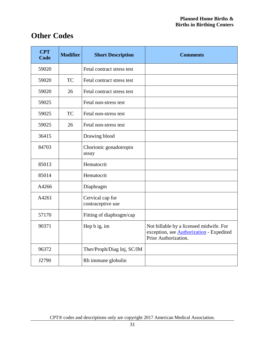#### <span id="page-30-0"></span>**Other Codes**

| <b>CPT</b><br><b>Code</b> | <b>Modifier</b> | <b>Short Description</b>              | <b>Comments</b>                                                                                                    |
|---------------------------|-----------------|---------------------------------------|--------------------------------------------------------------------------------------------------------------------|
| 59020                     |                 | Fetal contract stress test            |                                                                                                                    |
| 59020                     | <b>TC</b>       | Fetal contract stress test            |                                                                                                                    |
| 59020                     | 26              | Fetal contract stress test            |                                                                                                                    |
| 59025                     |                 | Fetal non-stress test                 |                                                                                                                    |
| 59025                     | <b>TC</b>       | Fetal non-stress test                 |                                                                                                                    |
| 59025                     | 26              | Fetal non-stress test                 |                                                                                                                    |
| 36415                     |                 | Drawing blood                         |                                                                                                                    |
| 84703                     |                 | Chorionic gonadotropin<br>assay       |                                                                                                                    |
| 85013                     |                 | Hematocrit                            |                                                                                                                    |
| 85014                     |                 | Hematocrit                            |                                                                                                                    |
| A4266                     |                 | Diaphragm                             |                                                                                                                    |
| A4261                     |                 | Cervical cap for<br>contraceptive use |                                                                                                                    |
| 57170                     |                 | Fitting of diaphragm/cap              |                                                                                                                    |
| 90371                     |                 | Hep b ig, im                          | Not billable by a licensed midwife. For<br>exception, see <b>Authorization</b> - Expedited<br>Prior Authorization. |
| 96372                     |                 | Ther/Proph/Diag Inj, SC/IM            |                                                                                                                    |
| J2790                     |                 | Rh immune globulin                    |                                                                                                                    |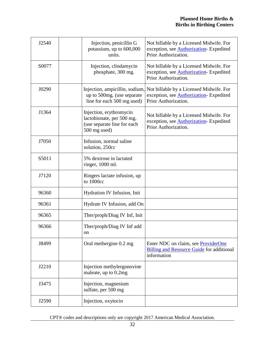| J2540 | Injection, penicillin G<br>potassium, up to 600,000<br>units.                                       | Not billable by a Licensed Midwife. For<br>exception, see <b>Authorization</b> - Expedited<br>Prior Authorization. |
|-------|-----------------------------------------------------------------------------------------------------|--------------------------------------------------------------------------------------------------------------------|
| S0077 | Injection, clindamycin<br>phosphate, 300 mg.                                                        | Not billable by a Licensed Midwife. For<br>exception, see <b>Authorization</b> - Expedited<br>Prior Authorization. |
| J0290 | Injection, ampicillin, sodium,<br>up to 500mg. (use separate<br>line for each 500 mg used)          | Not billable by a Licensed Midwife. For<br>exception, see <b>Authorization</b> - Expedited<br>Prior Authorization. |
| J1364 | Injection, erythromycin<br>lactobionate, per 500 mg.<br>(use separate line for each<br>500 mg used) | Not billable by a Licensed Midwife. For<br>exception, see <b>Authorization</b> - Expedited<br>Prior Authorization. |
| J7050 | Infusion, normal saline<br>solution, 250cc                                                          |                                                                                                                    |
| S5011 | 5% dextrose in lactated<br>ringer, 1000 ml.                                                         |                                                                                                                    |
| J7120 | Ringers lactate infusion, up<br>to 1000cc                                                           |                                                                                                                    |
| 96360 | Hydration IV Infusion, Init                                                                         |                                                                                                                    |
| 96361 | Hydrate IV Infusion, add On                                                                         |                                                                                                                    |
| 96365 | Ther/proph/Diag IV Inf, Init                                                                        |                                                                                                                    |
| 96366 | Ther/proph/Diag IV Inf add<br>on                                                                    |                                                                                                                    |
| J8499 | Oral methergine 0.2 mg                                                                              | Enter NDC on claim, see ProviderOne<br><b>Billing and Resource Guide for additional</b><br>information             |
| J2210 | Injection methylergonovine<br>maleate, up to 0.2mg                                                  |                                                                                                                    |
| J3475 | Injection, magnesium<br>sulfate, per 500 mg                                                         |                                                                                                                    |
| J2590 | Injection, oxytocin                                                                                 |                                                                                                                    |

CPT® codes and descriptions only are copyright 2017 American Medical Association.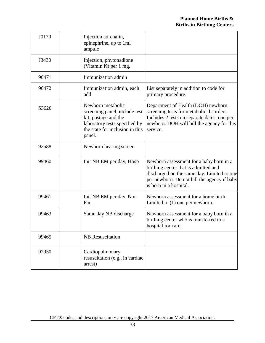| J0170 | Injection adrenalin,<br>epinephrine, up to 1ml<br>ampule                                                                                                 |                                                                                                                                                                                                        |
|-------|----------------------------------------------------------------------------------------------------------------------------------------------------------|--------------------------------------------------------------------------------------------------------------------------------------------------------------------------------------------------------|
| J3430 | Injection, phytonadione<br>(Vitamin K) per 1 mg.                                                                                                         |                                                                                                                                                                                                        |
| 90471 | Immunization admin                                                                                                                                       |                                                                                                                                                                                                        |
| 90472 | Immunization admin, each<br>add                                                                                                                          | List separately in addition to code for<br>primary procedure.                                                                                                                                          |
| S3620 | Newborn metabolic<br>screening panel, include test<br>kit, postage and the<br>laboratory tests specified by<br>the state for inclusion in this<br>panel. | Department of Health (DOH) newborn<br>screening tests for metabolic disorders.<br>Includes 2 tests on separate dates, one per<br>newborn. DOH will bill the agency for this<br>service.                |
| 92588 | Newborn hearing screen                                                                                                                                   |                                                                                                                                                                                                        |
| 99460 | Init NB EM per day, Hosp                                                                                                                                 | Newborn assessment for a baby born in a<br>birthing center that is admitted and<br>discharged on the same day. Limited to one<br>per newborn. Do not bill the agency if baby<br>is born in a hospital. |
| 99461 | Init NB EM per day, Non-<br>Fac                                                                                                                          | Newborn assessment for a home birth.<br>Limited to $(1)$ one per newborn.                                                                                                                              |
| 99463 | Same day NB discharge                                                                                                                                    | Newborn assessment for a baby born in a<br>birthing center who is transferred to a<br>hospital for care.                                                                                               |
| 99465 | <b>NB</b> Resuscitation                                                                                                                                  |                                                                                                                                                                                                        |
| 92950 | Cardiopulmonary<br>resuscitation (e.g., in cardiac<br>arrest)                                                                                            |                                                                                                                                                                                                        |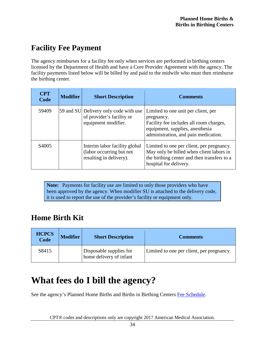#### <span id="page-33-0"></span>**Facility Fee Payment**

The agency reimburses for a facility fee only when services are performed in birthing centers licensed by the Department of Health and have a Core Provider Agreement with the agency. The facility payments listed below will be billed by and paid to the midwife who must then reimburse the birthing center.

| <b>CPT</b><br>Code | <b>Modifier</b> | <b>Short Description</b>                                                                    | <b>Comments</b>                                                                                                                                                         |
|--------------------|-----------------|---------------------------------------------------------------------------------------------|-------------------------------------------------------------------------------------------------------------------------------------------------------------------------|
| 59409              |                 | [59 and SU] Delivery only code with use<br>of provider's facility or<br>equipment modifier. | Limited to one unit per client, per<br>pregnancy.<br>Facility fee includes all room charges,<br>equipment, supplies, anesthesia<br>administration, and pain medication. |
| S <sub>4005</sub>  |                 | Interim labor facility global<br>(labor occurring but not<br>resulting in delivery).        | Limited to one per client, per pregnancy.<br>May only be billed when client labors in<br>the birthing center and then transfers to a<br>hospital for delivery.          |

**Note:** Payments for facility use are limited to only those providers who have been approved by the agency. When modifier SU is attached to the delivery code, it is used to report the use of the provider's facility or equipment only.

#### <span id="page-33-1"></span>**Home Birth Kit**

| <b>HCPCS</b><br>Code | <b>Modifier</b> | <b>Short Description</b>                           | <b>Comments</b>                           |
|----------------------|-----------------|----------------------------------------------------|-------------------------------------------|
| S8415                |                 | Disposable supplies for<br>home delivery of infant | Limited to one per client, per pregnancy. |

# <span id="page-33-2"></span>**What fees do I bill the agency?**

See the agency's Planned Home Births and Births in Birthing Centers [Fee Schedule.](http://www.hca.wa.gov/node/301)

CPT® codes and descriptions only are copyright 2017 American Medical Association.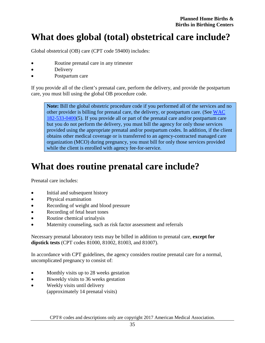## <span id="page-34-0"></span>**What does global (total) obstetrical care include?**

Global obstetrical (OB) care (CPT code 59400) includes:

- Routine prenatal care in any trimester
- Delivery
- Postpartum care

If you provide all of the client's prenatal care, perform the delivery, and provide the postpartum care, you must bill using the global OB procedure code.

**Note:** Bill the global obstetric procedure code if you performed all of the services and no other provider is billing for prenatal care, the delivery, or postpartum care. (See [WAC](http://apps.leg.wa.gov/WAC/default.aspx?cite=182-533-0400)  [182-533-0400\(](http://apps.leg.wa.gov/WAC/default.aspx?cite=182-533-0400)5). If you provide all or part of the prenatal care and/or postpartum care but you do not perform the delivery, you must bill the agency for only those services provided using the appropriate prenatal and/or postpartum codes. In addition, if the client obtains other medical coverage or is transferred to an agency-contracted managed care organization (MCO) during pregnancy, you must bill for only those services provided while the client is enrolled with agency fee-for-service.

# <span id="page-34-1"></span>**What does routine prenatal care include?**

Prenatal care includes:

- Initial and subsequent history
- Physical examination
- Recording of weight and blood pressure
- Recording of fetal heart tones
- Routine chemical urinalysis
- Maternity counseling, such as risk factor assessment and referrals

Necessary prenatal laboratory tests may be billed in addition to prenatal care, **except for dipstick tests** (CPT codes 81000, 81002, 81003, and 81007).

In accordance with CPT guidelines, the agency considers routine prenatal care for a normal, uncomplicated pregnancy to consist of:

- Monthly visits up to 28 weeks gestation
- Biweekly visits to 36 weeks gestation
- Weekly visits until delivery (approximately 14 prenatal visits)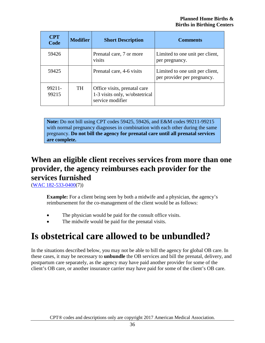| <b>CPT</b><br>Code | <b>Modifier</b> | <b>Short Description</b>                                                           | <b>Comments</b>                                                |
|--------------------|-----------------|------------------------------------------------------------------------------------|----------------------------------------------------------------|
| 59426              |                 | Prenatal care, 7 or more<br>visits                                                 | Limited to one unit per client,<br>per pregnancy.              |
| 59425              |                 | Prenatal care, 4-6 visits                                                          | Limited to one unit per client,<br>per provider per pregnancy. |
| 99211-<br>99215    | <b>TH</b>       | Office visits, prenatal care<br>1-3 visits only, w/obstetrical<br>service modifier |                                                                |

**Note:** Do not bill using CPT codes 59425, 59426, and E&M codes 99211-99215 with normal pregnancy diagnoses in combination with each other during the same pregnancy. **Do not bill the agency for prenatal care until all prenatal services are complete.**

#### <span id="page-35-0"></span>**When an eligible client receives services from more than one provider, the agency reimburses each provider for the services furnished**

[\(WAC 182-533-0400\(](http://apps.leg.wa.gov/WAC/default.aspx?cite=182-533-0400)7))

**Example:** For a client being seen by both a midwife and a physician, the agency's reimbursement for the co-management of the client would be as follows:

- The physician would be paid for the consult office visits.
- The midwife would be paid for the prenatal visits.

## <span id="page-35-1"></span>**Is obstetrical care allowed to be unbundled?**

In the situations described below, you may not be able to bill the agency for global OB care. In these cases, it may be necessary to **unbundle** the OB services and bill the prenatal, delivery, and postpartum care separately, as the agency may have paid another provider for some of the client's OB care, or another insurance carrier may have paid for some of the client's OB care.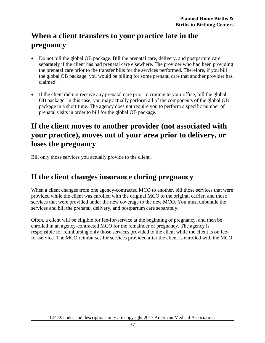#### <span id="page-36-0"></span>**When a client transfers to your practice late in the pregnancy**

- Do not bill the global OB package. Bill the prenatal care, delivery, and postpartum care separately if the client has had prenatal care elsewhere. The provider who had been providing the prenatal care prior to the transfer bills for the services performed. Therefore, if you bill the global OB package, you would be billing for some prenatal care that another provider has claimed.
- If the client did not receive any prenatal care prior to coming to your office, bill the global OB package. In this case, you may actually perform all of the components of the global OB package in a short time. The agency does not require you to perform a specific number of prenatal visits in order to bill for the global OB package.

#### <span id="page-36-1"></span>**If the client moves to another provider (not associated with your practice), moves out of your area prior to delivery, or loses the pregnancy**

Bill only those services you actually provide to the client.

#### <span id="page-36-2"></span>**If the client changes insurance during pregnancy**

When a client changes from one agency-contracted MCO to another, bill those services that were provided while the client was enrolled with the original MCO to the original carrier, and those services that were provided under the new coverage to the new MCO. You must unbundle the services and bill the prenatal, delivery, and postpartum care separately.

Often, a client will be eligible for fee-for-service at the beginning of pregnancy, and then be enrolled in an agency-contracted MCO for the remainder of pregnancy. The agency is responsible for reimbursing only those services provided to the client while the client is on feefor-service. The MCO reimburses for services provided after the client is enrolled with the MCO.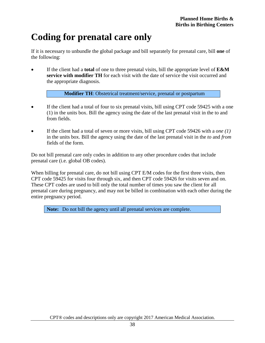# <span id="page-37-0"></span>**Coding for prenatal care only**

If it is necessary to unbundle the global package and bill separately for prenatal care, bill **one** of the following:

• If the client had a **total** of one to three prenatal visits, bill the appropriate level of **E&M service with modifier TH** for each visit with the date of service the visit occurred and the appropriate diagnosis.

**Modifier TH**: Obstetrical treatment/service, prenatal or postpartum

- If the client had a total of four to six prenatal visits, bill using CPT code 59425 with a one (1) in the units box. Bill the agency using the date of the last prenatal visit in the to and from fields.
- If the client had a total of seven or more visits, bill using CPT code 59426 with a *one (1)* in the units box. Bill the agency using the date of the last prenatal visit in the *to* and *from* fields of the form.

Do not bill prenatal care only codes in addition to any other procedure codes that include prenatal care (i.e. global OB codes).

When billing for prenatal care, do not bill using CPT E/M codes for the first three visits, then CPT code 59425 for visits four through six, and then CPT code 59426 for visits seven and on. These CPT codes are used to bill only the total number of times you saw the client for all prenatal care during pregnancy, and may not be billed in combination with each other during the entire pregnancy period.

**Note:** Do not bill the agency until all prenatal services are complete.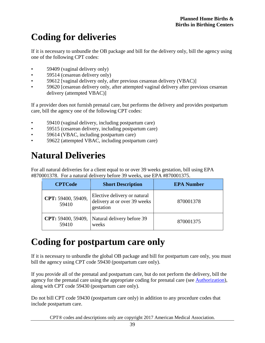# <span id="page-38-0"></span>**Coding for deliveries**

If it is necessary to unbundle the OB package and bill for the delivery only, bill the agency using one of the following CPT codes:

- 59409 (vaginal delivery only)
- 59514 (cesarean delivery only)
- 59612 [vaginal delivery only, after previous cesarean delivery (VBAC)]
- 59620 [cesarean delivery only, after attempted vaginal delivery after previous cesarean delivery (attempted VBAC)]

If a provider does not furnish prenatal care, but performs the delivery and provides postpartum care, bill the agency one of the following CPT codes:

- 59410 (vaginal delivery, including postpartum care)
- 59515 (cesarean delivery, including postpartum care)
- 59614 (VBAC, including postpartum care)
- 59622 (attempted VBAC, including postpartum care)

# <span id="page-38-1"></span>**Natural Deliveries**

For all natural deliveries for a client equal to or over 39 weeks gestation, bill using EPA #870001378. For a natural delivery before 39 weeks, use EPA #870001375.

| <b>CPTCode</b>              | <b>Short Description</b>                                                  | <b>EPA Number</b> |
|-----------------------------|---------------------------------------------------------------------------|-------------------|
| CPT: 59400, 59409,<br>59410 | Elective delivery or natural<br>delivery at or over 39 weeks<br>gestation | 870001378         |
| 59410                       | <b>CPT:</b> 59400, 59409,   Natural delivery before 39<br>weeks           | 870001375         |

# <span id="page-38-2"></span>**Coding for postpartum care only**

If it is necessary to unbundle the global OB package and bill for postpartum care only, you must bill the agency using CPT code 59430 (postpartum care only).

If you provide all of the prenatal and postpartum care, but do not perform the delivery, bill the agency for the prenatal care using the appropriate coding for prenatal care (see [Authorization\)](#page-25-0), along with CPT code 59430 (postpartum care only).

Do not bill CPT code 59430 (postpartum care only) in addition to any procedure codes that include postpartum care.

CPT® codes and descriptions only are copyright 2017 American Medical Association.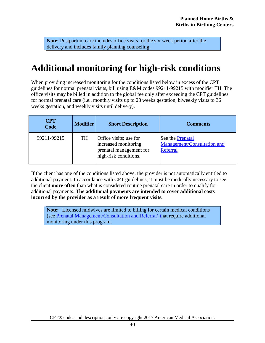**Note:** Postpartum care includes office visits for the six-week period after the delivery and includes family planning counseling.

## <span id="page-39-0"></span>**Additional monitoring for high-risk conditions**

When providing increased monitoring for the conditions listed below in excess of the CPT guidelines for normal prenatal visits, bill using E&M codes 99211-99215 with modifier TH. The office visits may be billed in addition to the global fee only after exceeding the CPT guidelines for normal prenatal care (i.e., monthly visits up to 28 weeks gestation, biweekly visits to 36 weeks gestation, and weekly visits until delivery).

| <b>CPT</b><br>Code | <b>Modifier</b> | <b>Short Description</b>                                                                           | <b>Comments</b>                                             |
|--------------------|-----------------|----------------------------------------------------------------------------------------------------|-------------------------------------------------------------|
| 99211-99215        | TH              | Office visits; use for<br>increased monitoring<br>prenatal management for<br>high-risk conditions. | See the Prenatal<br>Management/Consultation and<br>Referral |

If the client has one of the conditions listed above, the provider is not automatically entitled to additional payment. In accordance with CPT guidelines, it must be medically necessary to see the client **more often** than what is considered routine prenatal care in order to qualify for additional payments. **The additional payments are intended to cover additional costs incurred by the provider as a result of more frequent visits.** 

**Note:** Licensed midwives are limited to billing for certain medical conditions (see [Prenatal Management/Consultation and Referral\) th](#page-19-1)at require additional monitoring under this program.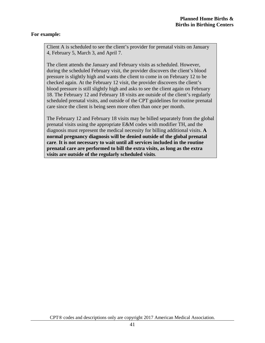#### **For example:**

Client A is scheduled to see the client's provider for prenatal visits on January 4, February 5, March 3, and April 7.

The client attends the January and February visits as scheduled. However, during the scheduled February visit, the provider discovers the client's blood pressure is slightly high and wants the client to come in on February 12 to be checked again. At the February 12 visit, the provider discovers the client's blood pressure is still slightly high and asks to see the client again on February 18. The February 12 and February 18 visits are outside of the client's regularly scheduled prenatal visits, and outside of the CPT guidelines for routine prenatal care since the client is being seen more often than once per month.

The February 12 and February 18 visits may be billed separately from the global prenatal visits using the appropriate E&M codes with modifier TH, and the diagnosis must represent the medical necessity for billing additional visits. **A normal pregnancy diagnosis will be denied outside of the global prenatal care**. **It is not necessary to wait until all services included in the routine prenatal care are performed to bill the extra visits, as long as the extra visits are outside of the regularly scheduled visits***.*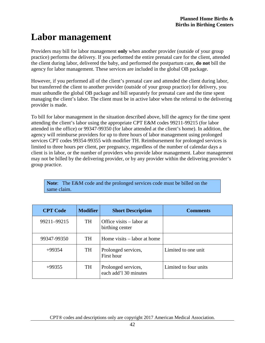# <span id="page-41-0"></span>**Labor management**

Providers may bill for labor management **only** when another provider (outside of your group practice) performs the delivery. If you performed the entire prenatal care for the client, attended the client during labor, delivered the baby, and performed the postpartum care, **do not** bill the agency for labor management. These services are included in the global OB package.

However, if you performed all of the client's prenatal care and attended the client during labor, but transferred the client to another provider (outside of your group practice) for delivery, you must unbundle the global OB package and bill separately for prenatal care and the time spent managing the client's labor. The client must be in active labor when the referral to the delivering provider is made.

To bill for labor management in the situation described above, bill the agency for the time spent attending the client's labor using the appropriate CPT E&M codes 99211-99215 (for labor attended in the office) or 99347-99350 (for labor attended at the client's home). In addition, the agency will reimburse providers for up to three hours of labor management using prolonged services CPT codes 99354-99355 with modifier TH. Reimbursement for prolonged services is limited to three hours per client, per pregnancy, regardless of the number of calendar days a client is in labor, or the number of providers who provide labor management. Labor management may not be billed by the delivering provider, or by any provider within the delivering provider's group practice.

**Note**: The E&M code and the prolonged services code must be billed on the same claim.

| <b>CPT</b> Code | <b>Modifier</b> | <b>Short Description</b>                     | <b>Comments</b>       |
|-----------------|-----------------|----------------------------------------------|-----------------------|
| 99211-99215     | TH              | Office visits – labor at<br>birthing center  |                       |
| 99347-99350     | <b>TH</b>       | Home visits – labor at home                  |                       |
| $+99354$        | <b>TH</b>       | Prolonged services,<br>First hour            | Limited to one unit   |
| $+99355$        | <b>TH</b>       | Prolonged services,<br>each add'l 30 minutes | Limited to four units |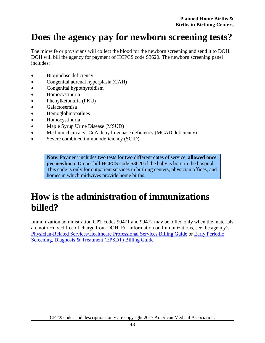## <span id="page-42-0"></span>**Does the agency pay for newborn screening tests?**

The midwife or physicians will collect the blood for the newborn screening and send it to DOH. DOH will bill the agency for payment of HCPCS code S3620. The newborn screening panel includes:

- Biotinidase deficiency
- Congenital adrenal hyperplasia (CAH)
- Congenital hypothyroidism
- Homocystinuria
- Phenylketonuria (PKU)
- Galactosemisa
- Hemoglobinopathies
- Homocystinuria
- Maple Syrup Urine Disease (MSUD)
- Medium chain acyl-CoA dehydrogenase deficiency (MCAD deficiency)
- Severe combined immunodeficiency (SCID)

**Note**: Payment includes two tests for two different dates of service, **allowed once per newborn**. Do not bill HCPCS code S3620 if the baby is born in the hospital. This code is only for outpatient services in birthing centers, physician offices, and homes in which midwives provide home births.

## <span id="page-42-1"></span>**How is the administration of immunizations billed?**

Immunization administration CPT codes 90471 and 90472 may be billed only when the materials are not received free of charge from DOH. For information on Immunizations, see the agency's [Physician-Related Services/Healthcare Professional Services](http://www.hca.wa.gov/node/301#collapse40) Billing Guide or [Early Periodic](http://www.hca.wa.gov/node/301#collapse14)  [Screening, Diagnosis & Treatment \(EPSDT\)](http://www.hca.wa.gov/node/301#collapse14) Billing Guide.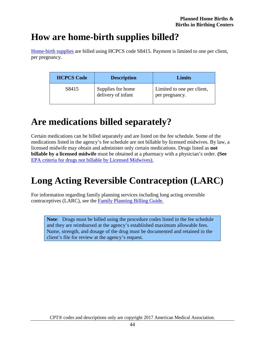## <span id="page-43-0"></span>**How are home-birth supplies billed?**

[Home-birth supplies](#page-11-0) are billed using HCPCS code S8415. Payment is limited to one per client, per pregnancy.

| <b>HCPCS Code</b> | <b>Description</b>                      | Limits                                       |
|-------------------|-----------------------------------------|----------------------------------------------|
| S8415             | Supplies for home<br>delivery of infant | Limited to one per client,<br>per pregnancy. |

# <span id="page-43-1"></span>**Are medications billed separately?**

Certain medications can be billed separately and are listed on the fee schedule. Some of the medications listed in the agency's fee schedule are not billable by licensed midwives. By law, a licensed midwife may obtain and administer only certain medications. Drugs listed as **not billable by a licensed midwife** must be obtained at a pharmacy with a physician's order. **(See**  [EPA criteria for drugs not billable by Licensed Midwives\).](#page-26-0)

# <span id="page-43-2"></span>**Long Acting Reversible Contraception (LARC)**

For information regarding family planning services including long acting reversible contraceptives (LARC), see the [Family Planning Billing](http://www.hca.wa.gov/node/301#collapse28) Guide.

**Note**: Drugs must be billed using the procedure codes listed in the fee schedule and they are reimbursed at the agency's established maximum allowable fees. Name, strength, and dosage of the drug must be documented and retained in the client's file for review at the agency's request.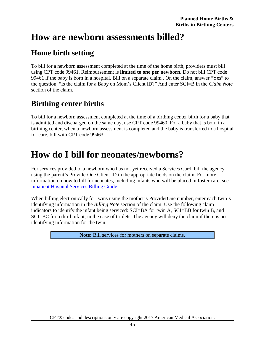### <span id="page-44-1"></span>**How are newborn assessments billed?**

#### <span id="page-44-2"></span>**Home birth setting**

To bill for a newborn assessment completed at the time of the home birth, providers must bill using CPT code 99461. Reimbursement is **limited to one per newborn.** Do not bill CPT code 99461 if the baby is born in a hospital. Bill on a separate claim . On the claim, answer "Yes" to the question, "Is the claim for a Baby on Mom's Client ID?" And enter SCI=B in the *Claim Note* section of the claim.

#### <span id="page-44-3"></span>**Birthing center births**

To bill for a newborn assessment completed at the time of a birthing center birth for a baby that is admitted and discharged on the same day, use CPT code 99460. For a baby that is born in a birthing center, when a newborn assessment is completed and the baby is transferred to a hospital for care, bill with CPT code 99463.

## <span id="page-44-0"></span>**How do I bill for neonates/newborns?**

For services provided to a newborn who has not yet received a Services Card, bill the agency using the parent's ProviderOne Client ID in the appropriate fields on the claim. For more information on how to bill for neonates, including infants who will be placed in foster care, see [Inpatient Hospital Services Billing Guide.](https://www.hca.wa.gov/billers-providers/claims-and-billing/professional-rates-and-billing-guides#i)

When billing electronically for twins using the mother's ProviderOne number, enter each twin's identifying information in the *Billing Note* section of the claim. Use the following claim indicators to identify the infant being serviced: SCI=BA for twin A, SCI=BB for twin B, and SCI=BC for a third infant, in the case of triplets. The agency will deny the claim if there is no identifying information for the twin.

**Note:** Bill services for mothers on separate claims.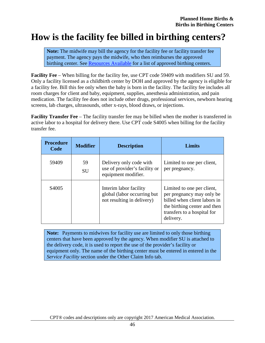### <span id="page-45-0"></span>**How is the facility fee billed in birthing centers?**

**Note:** The midwife may bill the agency for the facility fee or facility transfer fee payment. The agency pays the midwife, who then reimburses the approved birthing center. See [Resources Available](#page-5-0) for a list of approved birthing centers.

**Facility Fee** – When billing for the facility fee, use CPT code 59409 with modifiers SU and 59. Only a facility licensed as a childbirth center by DOH and approved by the agency is eligible for a facility fee. Bill this fee only when the baby is born in the facility. The facility fee includes all room charges for client and baby, equipment, supplies, anesthesia administration, and pain medication. The facility fee does not include other drugs, professional services, newborn hearing screens, lab charges, ultrasounds, other x-rays, blood draws, or injections.

**Facility Transfer Fee** – The facility transfer fee may be billed when the mother is transferred in active labor to a hospital for delivery there. Use CPT code S4005 when billing for the facility transfer fee.

| <b>Procedure</b><br>Code | <b>Modifier</b> | <b>Description</b>                                                                  | <b>Limits</b>                                                                                                                                                       |
|--------------------------|-----------------|-------------------------------------------------------------------------------------|---------------------------------------------------------------------------------------------------------------------------------------------------------------------|
| 59409                    | 59<br><b>SU</b> | Delivery only code with<br>use of provider's facility or<br>equipment modifier.     | Limited to one per client,<br>per pregnancy.                                                                                                                        |
| S <sub>4005</sub>        |                 | Interim labor facility<br>global (labor occurring but<br>not resulting in delivery) | Limited to one per client,<br>per pregnancy may only be<br>billed when client labors in<br>the birthing center and then<br>transfers to a hospital for<br>delivery. |

**Note:** Payments to midwives for facility use are limited to only those birthing centers that have been approved by the agency. When modifier SU is attached to the delivery code, it is used to report the use of the provider's facility or equipment only. The name of the birthing center must be entered in entered in the *Service Facility* section under the Other Claim Info tab.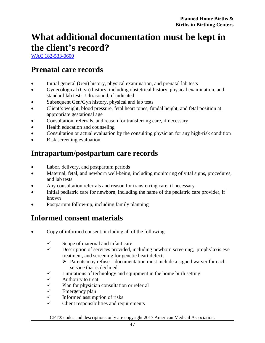# <span id="page-46-0"></span>**What additional documentation must be kept in the client's record?**

[WAC 182-533-0600](http://apps.leg.wa.gov/WAC/default.aspx?cite=182-533-0600)

#### <span id="page-46-1"></span>**Prenatal care records**

- Initial general (Gen) history, physical examination, and prenatal lab tests
- Gynecological (Gyn) history, including obstetrical history, physical examination, and standard lab tests. Ultrasound, if indicated
- Subsequent Gen/Gyn history, physical and lab tests
- Client's weight, blood pressure, fetal heart tones, fundal height, and fetal position at appropriate gestational age
- Consultation, referrals, and reason for transferring care, if necessary
- Health education and counseling
- Consultation or actual evaluation by the consulting physician for any high-risk condition
- Risk screening evaluation

#### <span id="page-46-2"></span>**Intrapartum/postpartum care records**

- Labor, delivery, and postpartum periods
- Maternal, fetal, and newborn well-being, including monitoring of vital signs, procedures, and lab tests
- Any consultation referrals and reason for transferring care, if necessary
- Initial pediatric care for newborn, including the name of the pediatric care provider, if known
- Postpartum follow-up, including family planning

#### <span id="page-46-3"></span>**Informed consent materials**

- Copy of informed consent, including all of the following:
	- $\checkmark$  Scope of maternal and infant care
	- $\checkmark$  Description of services provided, including newborn screening, prophylaxis eye treatment, and screening for genetic heart defects
		- $\triangleright$  Parents may refuse documentation must include a signed waiver for each service that is declined
	- $\checkmark$  Limitations of technology and equipment in the home birth setting
	- $\checkmark$  Authority to treat
	- $\checkmark$  Plan for physician consultation or referral  $\checkmark$  Emergency plan
	- $\checkmark$  Emergency plan<br> $\checkmark$  Informed assume
	- $\checkmark$  Informed assumption of risks<br> $\checkmark$  Client responsibilities and req
	- Client responsibilities and requirements

CPT® codes and descriptions only are copyright 2017 American Medical Association.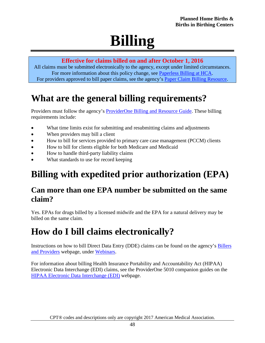# **Billing**

#### **Effective for claims billed on and after October 1, 2016**

<span id="page-47-0"></span>All claims must be submitted electronically to the agency, except under limited circumstances. For more information about this policy change, see [Paperless Billing at HCA.](http://www.hca.wa.gov/billers-providers/providerone/providerone-billing-and-resource-guide#paperless-billing-at-hca) For providers approved to bill paper claims, see the agency's [Paper Claim Billing Resource.](http://www.hca.wa.gov/assets/billers-and-providers/paper-claim-billing-resource.pdf)

# <span id="page-47-1"></span>**What are the general billing requirements?**

Providers must follow the agency's [ProviderOne Billing and Resource Guide.](http://www.hca.wa.gov/node/311) These billing requirements include:

- What time limits exist for submitting and resubmitting claims and adjustments
- When providers may bill a client
- How to bill for services provided to primary care case management (PCCM) clients
- How to bill for clients eligible for both Medicare and Medicaid
- How to handle third-party liability claims
- What standards to use for record keeping

# <span id="page-47-2"></span>**Billing with expedited prior authorization (EPA)**

#### <span id="page-47-3"></span>**Can more than one EPA number be submitted on the same claim?**

Yes. EPAs for drugs billed by a licensed midwife and the EPA for a natural delivery may be billed on the same claim.

## <span id="page-47-4"></span>**How do I bill claims electronically?**

Instructions on how to bill Direct Data Entry (DDE) claims can be found on the agency's [Billers](http://hca.wa.gov/billers-providers)  [and Providers](http://hca.wa.gov/billers-providers) webpage, under [Webinars.](http://www.hca.wa.gov/node/2386)

For information about billing Health Insurance Portability and Accountability Act (HIPAA) Electronic Data Interchange (EDI) claims, see the ProviderOne 5010 companion guides on the [HIPAA Electronic Data Interchange \(EDI\)](http://www.hca.wa.gov/node/2336) webpage.